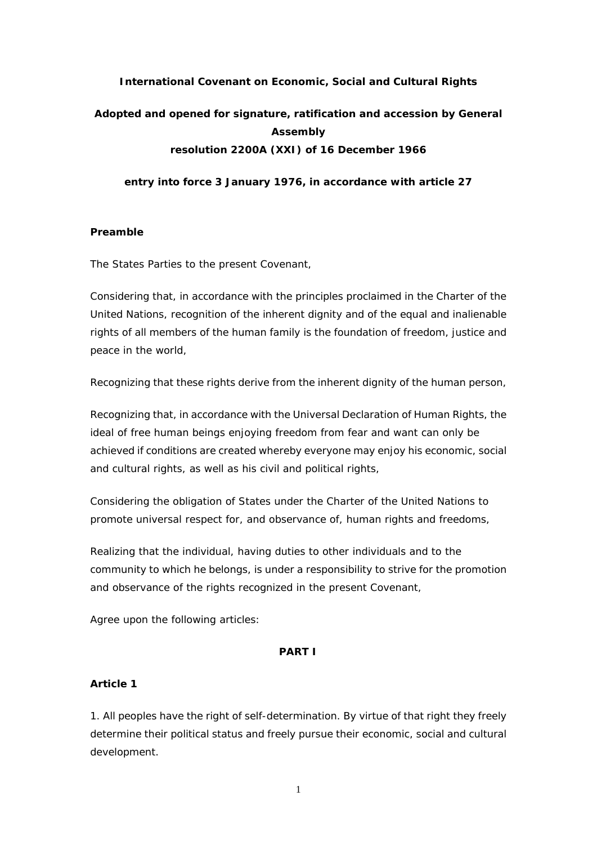# **International Covenant on Economic, Social and Cultural Rights Adopted and opened for signature, ratification and accession by General Assembly resolution 2200A (XXI) of 16 December 1966**

*entry into force* **3 January 1976, in accordance with article 27**

## *Preamble*

The States Parties to the present Covenant,

Considering that, in accordance with the principles proclaimed in the Charter of the United Nations, recognition of the inherent dignity and of the equal and inalienable rights of all members of the human family is the foundation of freedom, justice and peace in the world,

Recognizing that these rights derive from the inherent dignity of the human person,

Recognizing that, in accordance with the Universal Declaration of Human Rights, the ideal of free human beings enjoying freedom from fear and want can only be achieved if conditions are created whereby everyone may enjoy his economic, social and cultural rights, as well as his civil and political rights,

Considering the obligation of States under the Charter of the United Nations to promote universal respect for, and observance of, human rights and freedoms,

Realizing that the individual, having duties to other individuals and to the community to which he belongs, is under a responsibility to strive for the promotion and observance of the rights recognized in the present Covenant,

Agree upon the following articles:

#### **PART I**

#### *Article 1*

1. All peoples have the right of self-determination. By virtue of that right they freely determine their political status and freely pursue their economic, social and cultural development.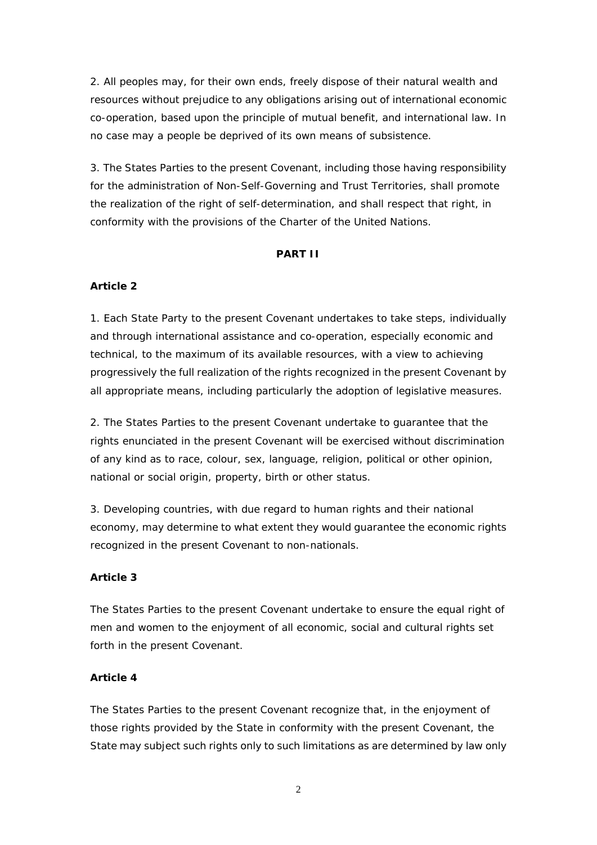2. All peoples may, for their own ends, freely dispose of their natural wealth and resources without prejudice to any obligations arising out of international economic co-operation, based upon the principle of mutual benefit, and international law. In no case may a people be deprived of its own means of subsistence.

3. The States Parties to the present Covenant, including those having responsibility for the administration of Non-Self-Governing and Trust Territories, shall promote the realization of the right of self-determination, and shall respect that right, in conformity with the provisions of the Charter of the United Nations.

#### **PART II**

## *Article 2*

1. Each State Party to the present Covenant undertakes to take steps, individually and through international assistance and co-operation, especially economic and technical, to the maximum of its available resources, with a view to achieving progressively the full realization of the rights recognized in the present Covenant by all appropriate means, including particularly the adoption of legislative measures.

2. The States Parties to the present Covenant undertake to guarantee that the rights enunciated in the present Covenant will be exercised without discrimination of any kind as to race, colour, sex, language, religion, political or other opinion, national or social origin, property, birth or other status.

3. Developing countries, with due regard to human rights and their national economy, may determine to what extent they would guarantee the economic rights recognized in the present Covenant to non-nationals.

## *Article 3*

The States Parties to the present Covenant undertake to ensure the equal right of men and women to the enjoyment of all economic, social and cultural rights set forth in the present Covenant.

## *Article 4*

The States Parties to the present Covenant recognize that, in the enjoyment of those rights provided by the State in conformity with the present Covenant, the State may subject such rights only to such limitations as are determined by law only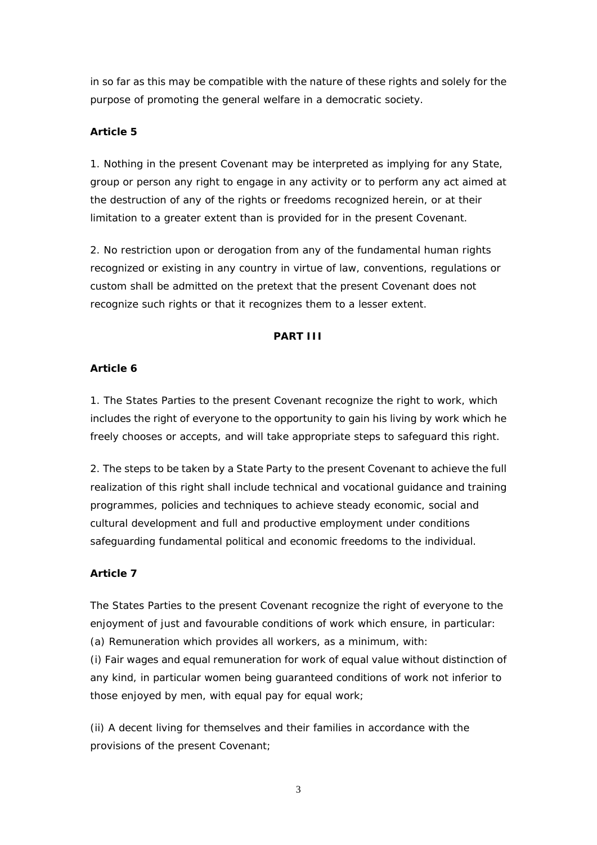in so far as this may be compatible with the nature of these rights and solely for the purpose of promoting the general welfare in a democratic society.

## *Article 5*

1. Nothing in the present Covenant may be interpreted as implying for any State, group or person any right to engage in any activity or to perform any act aimed at the destruction of any of the rights or freedoms recognized herein, or at their limitation to a greater extent than is provided for in the present Covenant.

2. No restriction upon or derogation from any of the fundamental human rights recognized or existing in any country in virtue of law, conventions, regulations or custom shall be admitted on the pretext that the present Covenant does not recognize such rights or that it recognizes them to a lesser extent.

## **PART III**

## *Article 6*

1. The States Parties to the present Covenant recognize the right to work, which includes the right of everyone to the opportunity to gain his living by work which he freely chooses or accepts, and will take appropriate steps to safeguard this right.

2. The steps to be taken by a State Party to the present Covenant to achieve the full realization of this right shall include technical and vocational guidance and training programmes, policies and techniques to achieve steady economic, social and cultural development and full and productive employment under conditions safeguarding fundamental political and economic freedoms to the individual.

# *Article 7*

The States Parties to the present Covenant recognize the right of everyone to the enjoyment of just and favourable conditions of work which ensure, in particular: (a) Remuneration which provides all workers, as a minimum, with:

(i) Fair wages and equal remuneration for work of equal value without distinction of any kind, in particular women being guaranteed conditions of work not inferior to those enjoyed by men, with equal pay for equal work;

(ii) A decent living for themselves and their families in accordance with the provisions of the present Covenant;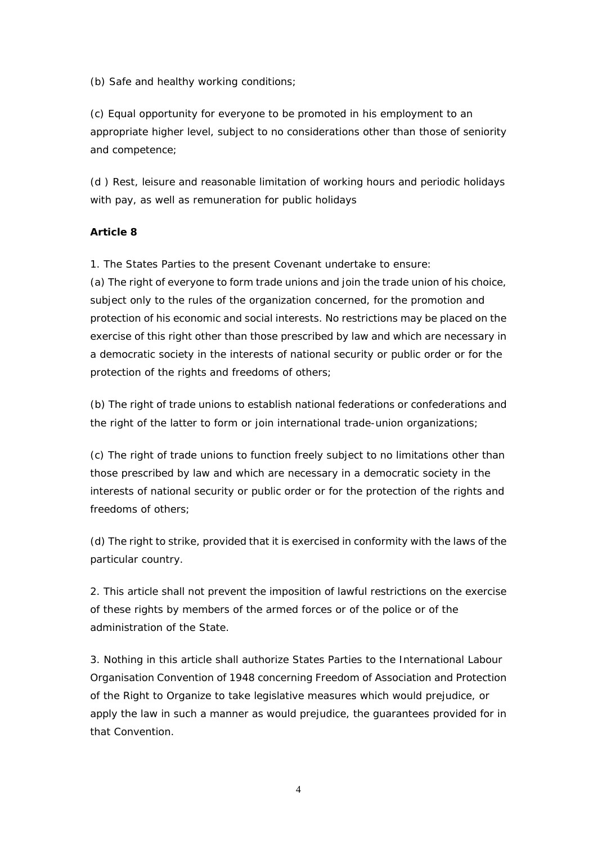(b) Safe and healthy working conditions;

(c) Equal opportunity for everyone to be promoted in his employment to an appropriate higher level, subject to no considerations other than those of seniority and competence;

(d ) Rest, leisure and reasonable limitation of working hours and periodic holidays with pay, as well as remuneration for public holidays

## *Article 8*

1. The States Parties to the present Covenant undertake to ensure:

(a) The right of everyone to form trade unions and join the trade union of his choice, subject only to the rules of the organization concerned, for the promotion and protection of his economic and social interests. No restrictions may be placed on the exercise of this right other than those prescribed by law and which are necessary in a democratic society in the interests of national security or public order or for the protection of the rights and freedoms of others;

(b) The right of trade unions to establish national federations or confederations and the right of the latter to form or join international trade-union organizations;

(c) The right of trade unions to function freely subject to no limitations other than those prescribed by law and which are necessary in a democratic society in the interests of national security or public order or for the protection of the rights and freedoms of others;

(d) The right to strike, provided that it is exercised in conformity with the laws of the particular country.

2. This article shall not prevent the imposition of lawful restrictions on the exercise of these rights by members of the armed forces or of the police or of the administration of the State.

3. Nothing in this article shall authorize States Parties to the International Labour Organisation Convention of 1948 concerning Freedom of Association and Protection of the Right to Organize to take legislative measures which would prejudice, or apply the law in such a manner as would prejudice, the guarantees provided for in that Convention.

4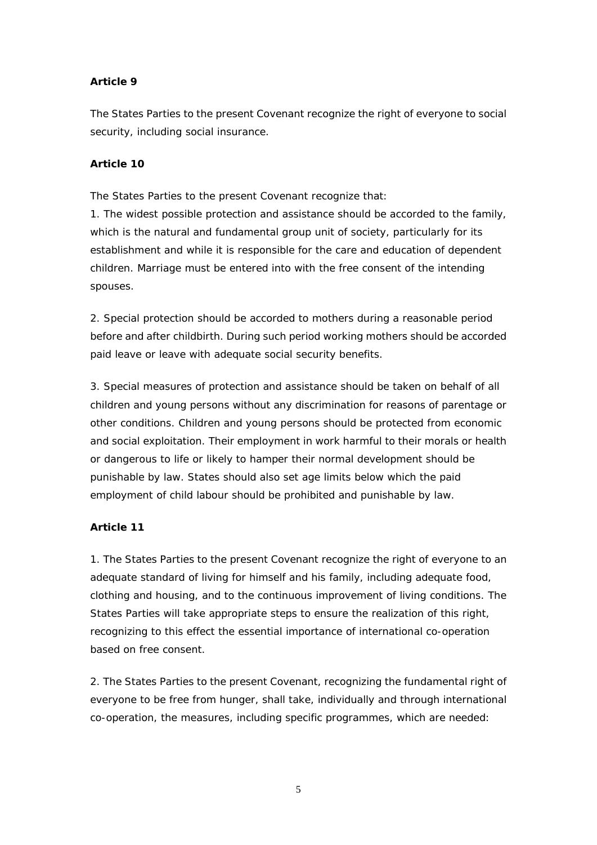The States Parties to the present Covenant recognize the right of everyone to social security, including social insurance.

## *Article 10*

The States Parties to the present Covenant recognize that:

1. The widest possible protection and assistance should be accorded to the family, which is the natural and fundamental group unit of society, particularly for its establishment and while it is responsible for the care and education of dependent children. Marriage must be entered into with the free consent of the intending spouses.

2. Special protection should be accorded to mothers during a reasonable period before and after childbirth. During such period working mothers should be accorded paid leave or leave with adequate social security benefits.

3. Special measures of protection and assistance should be taken on behalf of all children and young persons without any discrimination for reasons of parentage or other conditions. Children and young persons should be protected from economic and social exploitation. Their employment in work harmful to their morals or health or dangerous to life or likely to hamper their normal development should be punishable by law. States should also set age limits below which the paid employment of child labour should be prohibited and punishable by law.

# *Article 11*

1. The States Parties to the present Covenant recognize the right of everyone to an adequate standard of living for himself and his family, including adequate food, clothing and housing, and to the continuous improvement of living conditions. The States Parties will take appropriate steps to ensure the realization of this right, recognizing to this effect the essential importance of international co-operation based on free consent.

2. The States Parties to the present Covenant, recognizing the fundamental right of everyone to be free from hunger, shall take, individually and through international co-operation, the measures, including specific programmes, which are needed: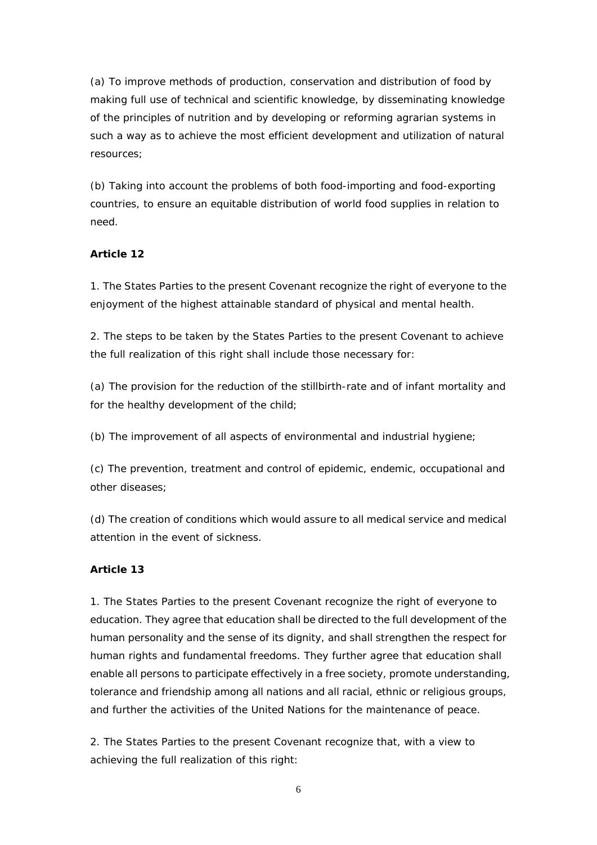(a) To improve methods of production, conservation and distribution of food by making full use of technical and scientific knowledge, by disseminating knowledge of the principles of nutrition and by developing or reforming agrarian systems in such a way as to achieve the most efficient development and utilization of natural resources;

(b) Taking into account the problems of both food-importing and food-exporting countries, to ensure an equitable distribution of world food supplies in relation to need.

## *Article 12*

1. The States Parties to the present Covenant recognize the right of everyone to the enjoyment of the highest attainable standard of physical and mental health.

2. The steps to be taken by the States Parties to the present Covenant to achieve the full realization of this right shall include those necessary for:

(a) The provision for the reduction of the stillbirth-rate and of infant mortality and for the healthy development of the child;

(b) The improvement of all aspects of environmental and industrial hygiene;

(c) The prevention, treatment and control of epidemic, endemic, occupational and other diseases;

(d) The creation of conditions which would assure to all medical service and medical attention in the event of sickness.

## *Article 13*

1. The States Parties to the present Covenant recognize the right of everyone to education. They agree that education shall be directed to the full development of the human personality and the sense of its dignity, and shall strengthen the respect for human rights and fundamental freedoms. They further agree that education shall enable all persons to participate effectively in a free society, promote understanding, tolerance and friendship among all nations and all racial, ethnic or religious groups, and further the activities of the United Nations for the maintenance of peace.

2. The States Parties to the present Covenant recognize that, with a view to achieving the full realization of this right: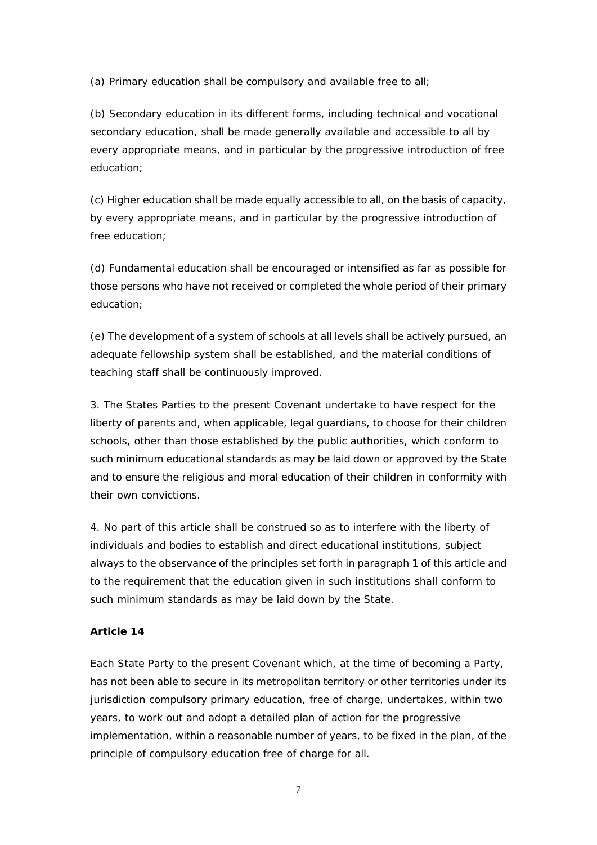(a) Primary education shall be compulsory and available free to all;

(b) Secondary education in its different forms, including technical and vocational secondary education, shall be made generally available and accessible to all by every appropriate means, and in particular by the progressive introduction of free education;

(c) Higher education shall be made equally accessible to all, on the basis of capacity, by every appropriate means, and in particular by the progressive introduction of free education;

(d) Fundamental education shall be encouraged or intensified as far as possible for those persons who have not received or completed the whole period of their primary education;

(e) The development of a system of schools at all levels shall be actively pursued, an adequate fellowship system shall be established, and the material conditions of teaching staff shall be continuously improved.

3. The States Parties to the present Covenant undertake to have respect for the liberty of parents and, when applicable, legal guardians, to choose for their children schools, other than those established by the public authorities, which conform to such minimum educational standards as may be laid down or approved by the State and to ensure the religious and moral education of their children in conformity with their own convictions.

4. No part of this article shall be construed so as to interfere with the liberty of individuals and bodies to establish and direct educational institutions, subject always to the observance of the principles set forth in paragraph 1 of this article and to the requirement that the education given in such institutions shall conform to such minimum standards as may be laid down by the State.

#### *Article 14*

Each State Party to the present Covenant which, at the time of becoming a Party, has not been able to secure in its metropolitan territory or other territories under its jurisdiction compulsory primary education, free of charge, undertakes, within two years, to work out and adopt a detailed plan of action for the progressive implementation, within a reasonable number of years, to be fixed in the plan, of the principle of compulsory education free of charge for all.

7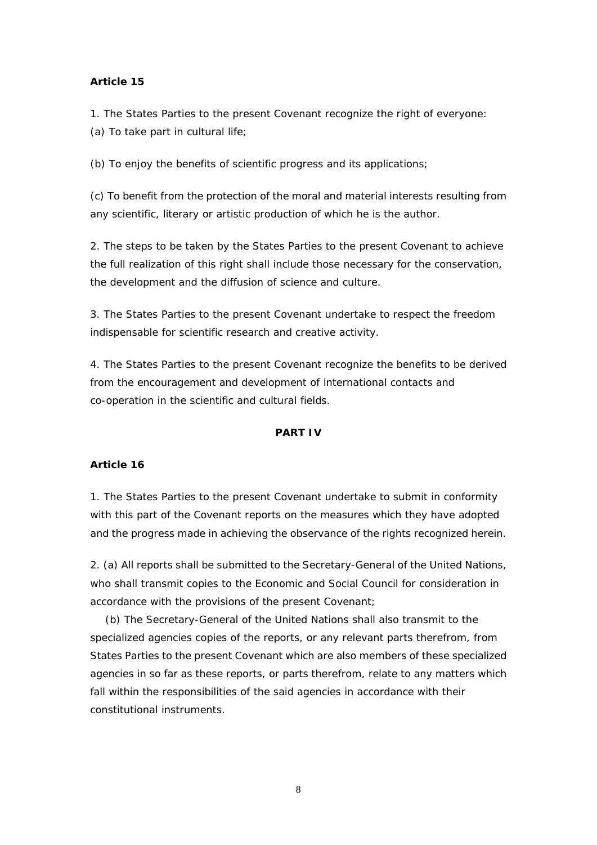1. The States Parties to the present Covenant recognize the right of everyone: (a) To take part in cultural life;

(b) To enjoy the benefits of scientific progress and its applications;

(c) To benefit from the protection of the moral and material interests resulting from any scientific, literary or artistic production of which he is the author.

2. The steps to be taken by the States Parties to the present Covenant to achieve the full realization of this right shall include those necessary for the conservation, the development and the diffusion of science and culture.

3. The States Parties to the present Covenant undertake to respect the freedom indispensable for scientific research and creative activity.

4. The States Parties to the present Covenant recognize the benefits to be derived from the encouragement and development of international contacts and co-operation in the scientific and cultural fields.

#### **PART IV**

#### *Article 16*

1. The States Parties to the present Covenant undertake to submit in conformity with this part of the Covenant reports on the measures which they have adopted and the progress made in achieving the observance of the rights recognized herein.

2. (a) All reports shall be submitted to the Secretary-General of the United Nations, who shall transmit copies to the Economic and Social Council for consideration in accordance with the provisions of the present Covenant;

 (b) The Secretary-General of the United Nations shall also transmit to the specialized agencies copies of the reports, or any relevant parts therefrom, from States Parties to the present Covenant which are also members of these specialized agencies in so far as these reports, or parts therefrom, relate to any matters which fall within the responsibilities of the said agencies in accordance with their constitutional instruments.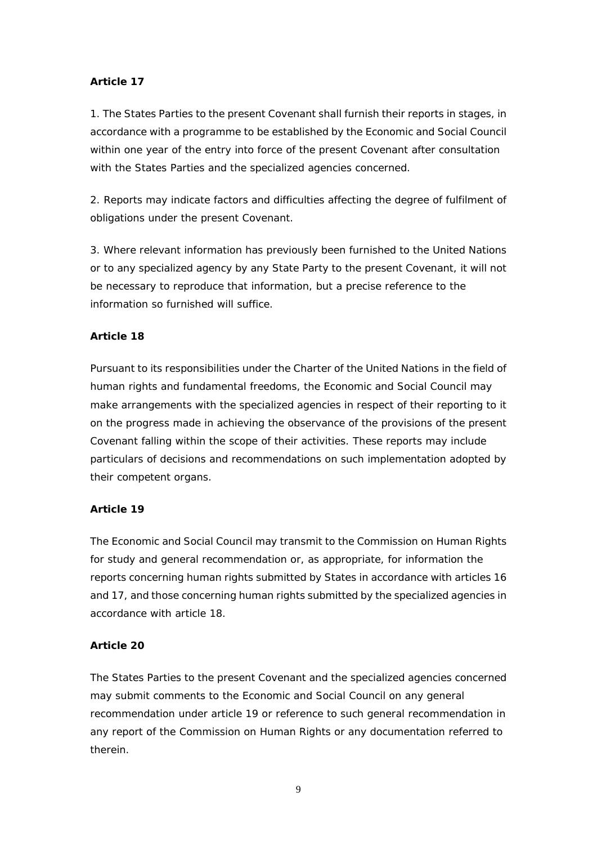1. The States Parties to the present Covenant shall furnish their reports in stages, in accordance with a programme to be established by the Economic and Social Council within one year of the entry into force of the present Covenant after consultation with the States Parties and the specialized agencies concerned.

2. Reports may indicate factors and difficulties affecting the degree of fulfilment of obligations under the present Covenant.

3. Where relevant information has previously been furnished to the United Nations or to any specialized agency by any State Party to the present Covenant, it will not be necessary to reproduce that information, but a precise reference to the information so furnished will suffice.

## *Article 18*

Pursuant to its responsibilities under the Charter of the United Nations in the field of human rights and fundamental freedoms, the Economic and Social Council may make arrangements with the specialized agencies in respect of their reporting to it on the progress made in achieving the observance of the provisions of the present Covenant falling within the scope of their activities. These reports may include particulars of decisions and recommendations on such implementation adopted by their competent organs.

#### *Article 19*

The Economic and Social Council may transmit to the Commission on Human Rights for study and general recommendation or, as appropriate, for information the reports concerning human rights submitted by States in accordance with articles 16 and 17, and those concerning human rights submitted by the specialized agencies in accordance with article 18.

#### *Article 20*

The States Parties to the present Covenant and the specialized agencies concerned may submit comments to the Economic and Social Council on any general recommendation under article 19 or reference to such general recommendation in any report of the Commission on Human Rights or any documentation referred to therein.

9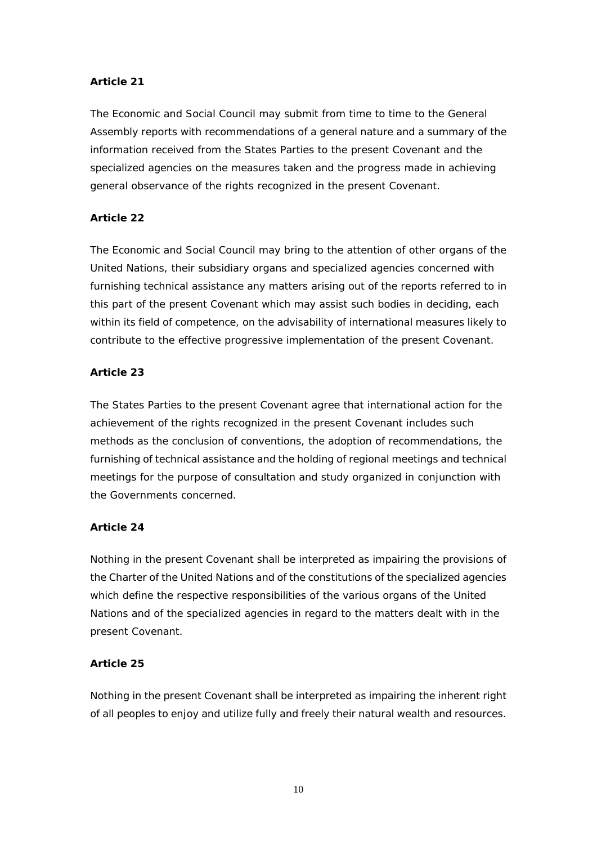The Economic and Social Council may submit from time to time to the General Assembly reports with recommendations of a general nature and a summary of the information received from the States Parties to the present Covenant and the specialized agencies on the measures taken and the progress made in achieving general observance of the rights recognized in the present Covenant.

# *Article 22*

The Economic and Social Council may bring to the attention of other organs of the United Nations, their subsidiary organs and specialized agencies concerned with furnishing technical assistance any matters arising out of the reports referred to in this part of the present Covenant which may assist such bodies in deciding, each within its field of competence, on the advisability of international measures likely to contribute to the effective progressive implementation of the present Covenant.

# *Article 23*

The States Parties to the present Covenant agree that international action for the achievement of the rights recognized in the present Covenant includes such methods as the conclusion of conventions, the adoption of recommendations, the furnishing of technical assistance and the holding of regional meetings and technical meetings for the purpose of consultation and study organized in conjunction with the Governments concerned.

# *Article 24*

Nothing in the present Covenant shall be interpreted as impairing the provisions of the Charter of the United Nations and of the constitutions of the specialized agencies which define the respective responsibilities of the various organs of the United Nations and of the specialized agencies in regard to the matters dealt with in the present Covenant.

## *Article 25*

Nothing in the present Covenant shall be interpreted as impairing the inherent right of all peoples to enjoy and utilize fully and freely their natural wealth and resources.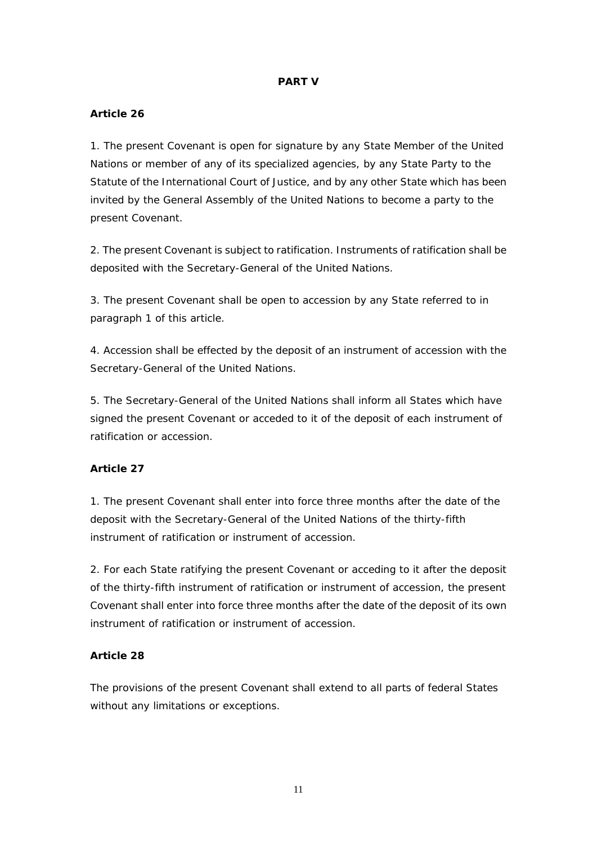## **PART V**

# *Article 26*

1. The present Covenant is open for signature by any State Member of the United Nations or member of any of its specialized agencies, by any State Party to the Statute of the International Court of Justice, and by any other State which has been invited by the General Assembly of the United Nations to become a party to the present Covenant.

2. The present Covenant is subject to ratification. Instruments of ratification shall be deposited with the Secretary-General of the United Nations.

3. The present Covenant shall be open to accession by any State referred to in paragraph 1 of this article.

4. Accession shall be effected by the deposit of an instrument of accession with the Secretary-General of the United Nations.

5. The Secretary-General of the United Nations shall inform all States which have signed the present Covenant or acceded to it of the deposit of each instrument of ratification or accession.

# *Article 27*

1. The present Covenant shall enter into force three months after the date of the deposit with the Secretary-General of the United Nations of the thirty-fifth instrument of ratification or instrument of accession.

2. For each State ratifying the present Covenant or acceding to it after the deposit of the thirty-fifth instrument of ratification or instrument of accession, the present Covenant shall enter into force three months after the date of the deposit of its own instrument of ratification or instrument of accession.

## *Article 28*

The provisions of the present Covenant shall extend to all parts of federal States without any limitations or exceptions.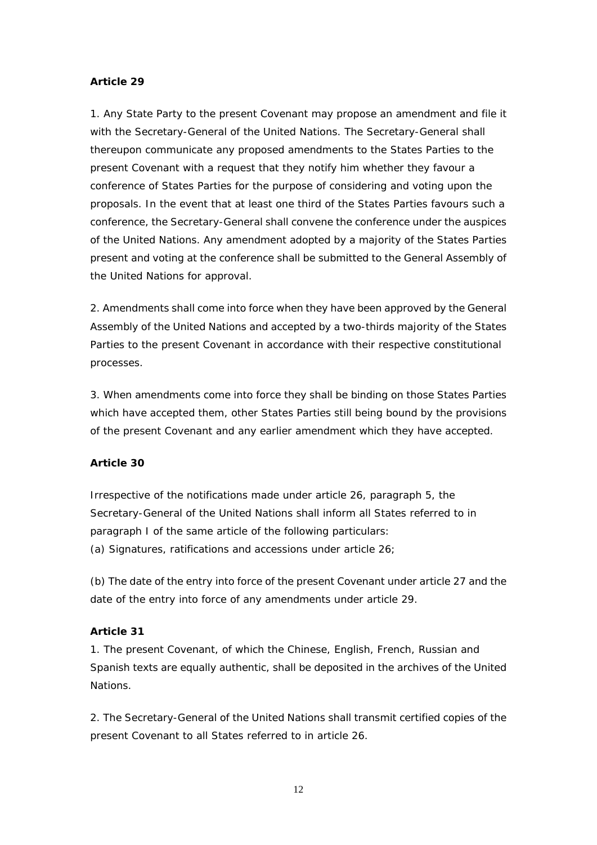1. Any State Party to the present Covenant may propose an amendment and file it with the Secretary-General of the United Nations. The Secretary-General shall thereupon communicate any proposed amendments to the States Parties to the present Covenant with a request that they notify him whether they favour a conference of States Parties for the purpose of considering and voting upon the proposals. In the event that at least one third of the States Parties favours such a conference, the Secretary-General shall convene the conference under the auspices of the United Nations. Any amendment adopted by a majority of the States Parties present and voting at the conference shall be submitted to the General Assembly of the United Nations for approval.

2. Amendments shall come into force when they have been approved by the General Assembly of the United Nations and accepted by a two-thirds majority of the States Parties to the present Covenant in accordance with their respective constitutional processes.

3. When amendments come into force they shall be binding on those States Parties which have accepted them, other States Parties still being bound by the provisions of the present Covenant and any earlier amendment which they have accepted.

#### *Article 30*

Irrespective of the notifications made under article 26, paragraph 5, the Secretary-General of the United Nations shall inform all States referred to in paragraph I of the same article of the following particulars: (a) Signatures, ratifications and accessions under article 26;

(b) The date of the entry into force of the present Covenant under article 27 and the date of the entry into force of any amendments under article 29.

#### *Article 31*

1. The present Covenant, of which the Chinese, English, French, Russian and Spanish texts are equally authentic, shall be deposited in the archives of the United Nations.

2. The Secretary-General of the United Nations shall transmit certified copies of the present Covenant to all States referred to in article 26.